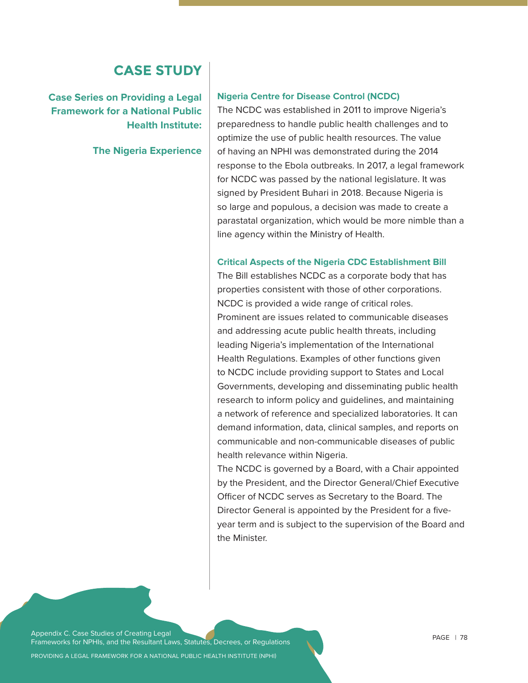## **CASE STUDY**

**Case Series on Providing a Legal Framework for a National Public Health Institute:** 

**The Nigeria Experience**

#### **Nigeria Centre for Disease Control (NCDC)**

The NCDC was established in 2011 to improve Nigeria's preparedness to handle public health challenges and to optimize the use of public health resources. The value of having an NPHI was demonstrated during the 2014 response to the Ebola outbreaks. In 2017, a legal framework for NCDC was passed by the national legislature. It was signed by President Buhari in 2018. Because Nigeria is so large and populous, a decision was made to create a parastatal organization, which would be more nimble than a line agency within the Ministry of Health.

#### **Critical Aspects of the Nigeria CDC Establishment Bill**

The Bill establishes NCDC as a corporate body that has properties consistent with those of other corporations. NCDC is provided a wide range of critical roles. Prominent are issues related to communicable diseases and addressing acute public health threats, including leading Nigeria's implementation of the International Health Regulations. Examples of other functions given to NCDC include providing support to States and Local Governments, developing and disseminating public health research to inform policy and guidelines, and maintaining a network of reference and specialized laboratories. It can demand information, data, clinical samples, and reports on communicable and non-communicable diseases of public health relevance within Nigeria.

The NCDC is governed by a Board, with a Chair appointed by the President, and the Director General/Chief Executive Officer of NCDC serves as Secretary to the Board. The Director General is appointed by the President for a fiveyear term and is subject to the supervision of the Board and the Minister.

Appendix C. Case Studies of Creating Legal Frameworks for NPHIs, and the Resultant Laws, Statutes, Decrees, or Regulations

PROVIDING A LEGAL FRAMEWORK FOR A NATIONAL PUBLIC HEALTH INSTITUTE (NPHI)